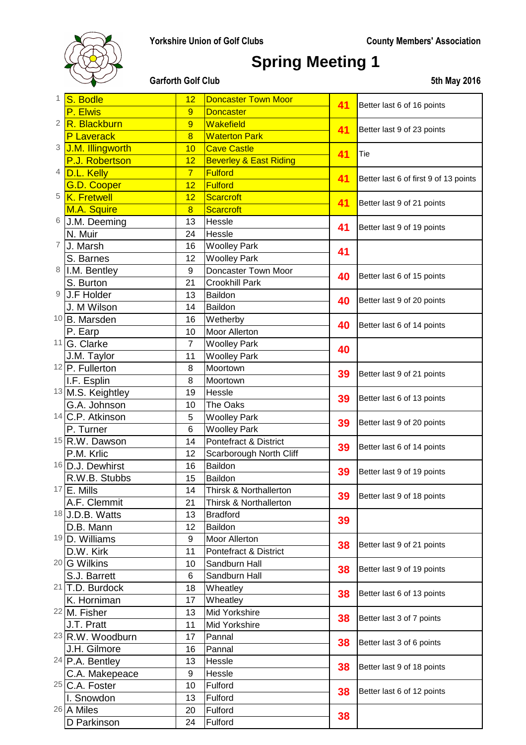

# **Spring Meeting 1**

| 1              | S. Bodle                                  | 12                   | <b>Doncaster Town Moor</b>        | 41 | Better last 6 of 16 points            |
|----------------|-------------------------------------------|----------------------|-----------------------------------|----|---------------------------------------|
|                | P. Elwis                                  | 9                    | <b>Doncaster</b>                  |    |                                       |
| $\overline{2}$ | R. Blackburn                              | 9                    | <b>Wakefield</b>                  | 41 | Better last 9 of 23 points            |
|                | P Laverack                                | $\overline{8}$       | <b>Waterton Park</b>              |    |                                       |
| 3              | J.M. Illingworth                          | 10                   | <b>Cave Castle</b>                | 41 | Tie                                   |
|                | P.J. Robertson                            | 12                   | <b>Beverley &amp; East Riding</b> |    |                                       |
| 4              | D.L. Kelly                                | $\overline{7}$       | <b>Fulford</b>                    | 41 | Better last 6 of first 9 of 13 points |
|                | G.D. Cooper                               | 12                   | <b>Fulford</b>                    |    |                                       |
| 5              | K. Fretwell                               | 12                   | <b>Scarcroft</b>                  | 41 | Better last 9 of 21 points            |
|                | M.A. Squire                               | $\overline{8}$       | <b>Scarcroft</b>                  |    |                                       |
| 6              | J.M. Deeming                              | 13                   | Hessle                            | 41 | Better last 9 of 19 points            |
|                | N. Muir                                   | 24                   | Hessle                            |    |                                       |
| 7              | J. Marsh                                  | 16                   | <b>Woolley Park</b>               | 41 |                                       |
|                | S. Barnes                                 | 12                   | <b>Woolley Park</b>               |    |                                       |
| 8              | I.M. Bentley                              | $\boldsymbol{9}$     | Doncaster Town Moor               | 40 | Better last 6 of 15 points            |
|                | S. Burton                                 | 21                   | <b>Crookhill Park</b>             |    |                                       |
| 9              | J.F Holder                                | 13                   | Baildon                           | 40 | Better last 9 of 20 points            |
|                | J. M Wilson                               | 14                   | Baildon                           |    |                                       |
|                | <sup>10</sup> B. Marsden                  | 16                   | Wetherby                          | 40 | Better last 6 of 14 points            |
|                | P. Earp<br>11 G. Clarke                   | 10<br>$\overline{7}$ | Moor Allerton                     |    |                                       |
|                |                                           | 11                   | <b>Woolley Park</b>               | 40 |                                       |
|                | J.M. Taylor<br><sup>12</sup> P. Fullerton | 8                    | <b>Woolley Park</b><br>Moortown   |    |                                       |
|                | I.F. Esplin                               | 8                    | Moortown                          | 39 | Better last 9 of 21 points            |
|                | 13 M.S. Keightley                         | 19                   | Hessle                            |    |                                       |
|                | G.A. Johnson                              | 10                   | The Oaks                          | 39 | Better last 6 of 13 points            |
|                | 14 C.P. Atkinson                          | 5                    | <b>Woolley Park</b>               |    |                                       |
|                | P. Turner                                 | $6\phantom{1}6$      | <b>Woolley Park</b>               | 39 | Better last 9 of 20 points            |
|                | <sup>15</sup> R.W. Dawson                 | 14                   | Pontefract & District             |    |                                       |
|                | P.M. Krlic                                | 12                   | Scarborough North Cliff           | 39 | Better last 6 of 14 points            |
|                | 16 D.J. Dewhirst                          | 16                   | Baildon                           |    |                                       |
|                | R.W.B. Stubbs                             | 15                   | Baildon                           | 39 | Better last 9 of 19 points            |
| 17             | E. Mills                                  | 14                   | Thirsk & Northallerton            | 39 | Better last 9 of 18 points            |
|                | A.F. Clemmit                              | 21                   | Thirsk & Northallerton            |    |                                       |
|                | 18 J.D.B. Watts                           | 13                   | <b>Bradford</b>                   | 39 |                                       |
|                | D.B. Mann                                 | 12                   | Baildon                           |    |                                       |
|                | 19 D. Williams                            | 9                    | <b>Moor Allerton</b>              | 38 | Better last 9 of 21 points            |
|                | D.W. Kirk                                 | 11                   | Pontefract & District             |    |                                       |
|                | <sup>20</sup> G Wilkins                   | 10                   | Sandburn Hall                     | 38 | Better last 9 of 19 points            |
|                | S.J. Barrett                              | 6                    | Sandburn Hall                     |    |                                       |
|                | 21 T.D. Burdock                           | 18                   | Wheatley                          | 38 | Better last 6 of 13 points            |
|                | K. Horniman                               | 17                   | Wheatley                          |    |                                       |
|                | <sup>22</sup> M. Fisher                   | 13                   | Mid Yorkshire                     | 38 | Better last 3 of 7 points             |
|                | J.T. Pratt                                | 11                   | Mid Yorkshire                     |    |                                       |
|                | 23 R.W. Woodburn                          | 17                   | Pannal                            | 38 | Better last 3 of 6 points             |
|                | J.H. Gilmore                              | 16                   | Pannal                            |    |                                       |
|                | 24 P.A. Bentley                           | 13                   | Hessle                            | 38 | Better last 9 of 18 points            |
|                | C.A. Makepeace                            | 9                    | Hessle                            |    |                                       |
|                | <sup>25</sup> C.A. Foster                 | 10                   | Fulford                           | 38 | Better last 6 of 12 points            |
|                | I. Snowdon<br>26 A Miles                  | 13<br>Fulford<br>20  | Fulford                           | 38 |                                       |
|                | D Parkinson                               | 24                   | Fulford                           |    |                                       |
|                |                                           |                      |                                   |    |                                       |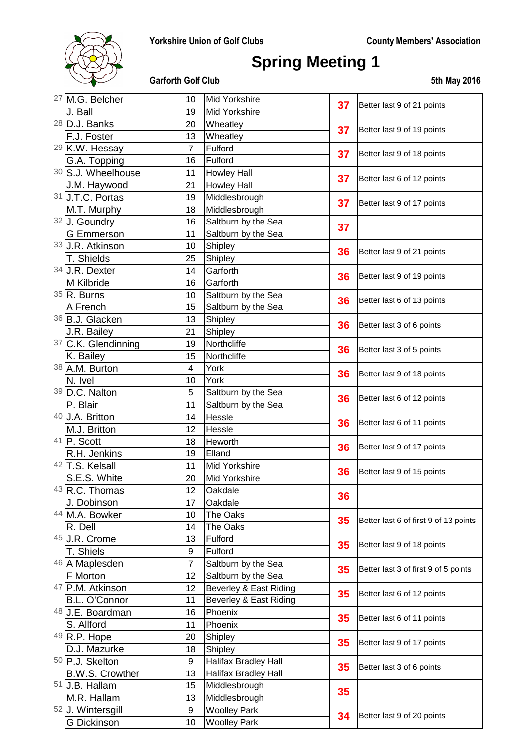

# **Spring Meeting 1**

|  | <sup>27</sup> M.G. Belcher | 10             | Mid Yorkshire               | 37 | Better last 9 of 21 points            |
|--|----------------------------|----------------|-----------------------------|----|---------------------------------------|
|  | J. Ball                    | 19             | Mid Yorkshire               |    |                                       |
|  | 28 D.J. Banks              | 20             | Wheatley                    | 37 | Better last 9 of 19 points            |
|  | F.J. Foster                | 13             | Wheatley                    |    |                                       |
|  | 29 K.W. Hessay             | 7              | Fulford                     | 37 | Better last 9 of 18 points            |
|  | G.A. Topping               | 16             | Fulford                     |    |                                       |
|  | 30 S.J. Wheelhouse         | 11             | <b>Howley Hall</b>          | 37 | Better last 6 of 12 points            |
|  | J.M. Haywood               | 21             | <b>Howley Hall</b>          |    |                                       |
|  | 31 J.T.C. Portas           | 19             | Middlesbrough               | 37 | Better last 9 of 17 points            |
|  | M.T. Murphy                | 18             | Middlesbrough               |    |                                       |
|  | 32 J. Goundry              | 16             | Saltburn by the Sea         | 37 |                                       |
|  | <b>G</b> Emmerson          | 11             | Saltburn by the Sea         |    |                                       |
|  | 33 J.R. Atkinson           | 10             | Shipley                     | 36 | Better last 9 of 21 points            |
|  | T. Shields                 | 25             | Shipley                     |    |                                       |
|  | 34 J.R. Dexter             | 14             | Garforth                    | 36 | Better last 9 of 19 points            |
|  | M Kilbride                 | 16             | Garforth                    |    |                                       |
|  | 35 R. Burns                | 10             | Saltburn by the Sea         | 36 | Better last 6 of 13 points            |
|  | A French                   | 15             | Saltburn by the Sea         |    |                                       |
|  | 36 B.J. Glacken            | 13             | Shipley                     | 36 | Better last 3 of 6 points             |
|  | J.R. Bailey                | 21             | Shipley                     |    |                                       |
|  | 37 C.K. Glendinning        | 19             | Northcliffe                 | 36 | Better last 3 of 5 points             |
|  | K. Bailey                  | 15             | Northcliffe                 |    |                                       |
|  | 38 A.M. Burton             | 4              | York                        | 36 | Better last 9 of 18 points            |
|  | N. Ivel                    | 10             | York                        |    |                                       |
|  | 39 D.C. Nalton             | 5              | Saltburn by the Sea         | 36 | Better last 6 of 12 points            |
|  | P. Blair                   | 11             | Saltburn by the Sea         |    |                                       |
|  | 40 J.A. Britton            | 14             | Hessle                      | 36 | Better last 6 of 11 points            |
|  | M.J. Britton               | 12             | Hessle                      |    |                                       |
|  | 41 P. Scott                | 18             | Heworth                     | 36 | Better last 9 of 17 points            |
|  | R.H. Jenkins               | 19             | Elland                      |    |                                       |
|  | 42 T.S. Kelsall            | 11             | Mid Yorkshire               | 36 | Better last 9 of 15 points            |
|  | S.E.S. White               | 20             | Mid Yorkshire               |    |                                       |
|  | 43 R.C. Thomas             | 12             | Oakdale                     | 36 |                                       |
|  | J. Dobinson                | 17             | Oakdale                     |    |                                       |
|  | 44 M.A. Bowker             | 10             | The Oaks                    | 35 | Better last 6 of first 9 of 13 points |
|  | R. Dell                    | 14             | The Oaks                    |    |                                       |
|  | 45 J.R. Crome              | 13             | Fulford                     | 35 | Better last 9 of 18 points            |
|  | T. Shiels                  | 9              | Fulford                     |    |                                       |
|  | 46 A Maplesden             | $\overline{7}$ | Saltburn by the Sea         | 35 | Better last 3 of first 9 of 5 points  |
|  | F Morton                   | 12             | Saltburn by the Sea         |    |                                       |
|  | 47 P.M. Atkinson           | 12             | Beverley & East Riding      | 35 | Better last 6 of 12 points            |
|  | <b>B.L. O'Connor</b>       | 11             | Beverley & East Riding      |    |                                       |
|  | 48 J.E. Boardman           | 16             | Phoenix                     | 35 | Better last 6 of 11 points            |
|  | S. Allford                 | 11             | Phoenix                     |    |                                       |
|  | 49 R.P. Hope               | 20             | Shipley                     | 35 | Better last 9 of 17 points            |
|  | D.J. Mazurke               | 18             | Shipley                     |    |                                       |
|  | 50 P.J. Skelton            | 9              | <b>Halifax Bradley Hall</b> | 35 | Better last 3 of 6 points             |
|  | <b>B.W.S. Crowther</b>     | 13             | <b>Halifax Bradley Hall</b> |    |                                       |
|  | 51 J.B. Hallam             | 15             | Middlesbrough               | 35 |                                       |
|  | M.R. Hallam                | 13             | Middlesbrough               |    |                                       |
|  | 52 J. Wintersgill          | 9              | <b>Woolley Park</b>         | 34 | Better last 9 of 20 points            |
|  | <b>G</b> Dickinson         | 10             | <b>Woolley Park</b>         |    |                                       |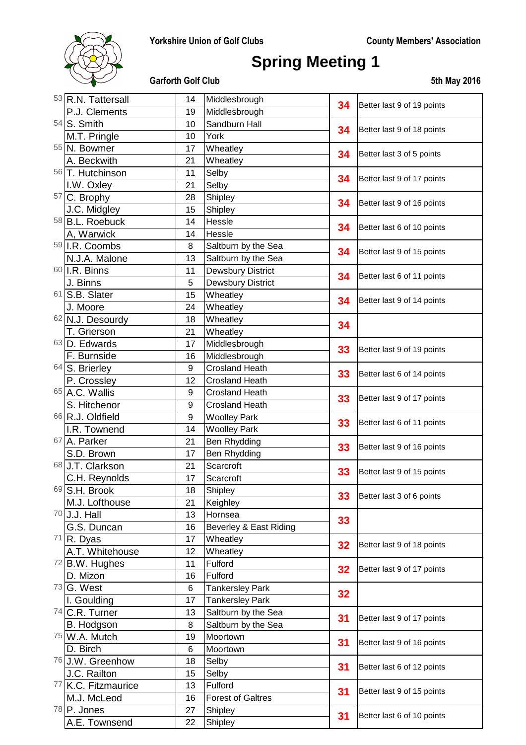

# **Spring Meeting 1**

| 53 R.N. Tattersall  | 14 | Middlesbrough            |    |                            |
|---------------------|----|--------------------------|----|----------------------------|
| P.J. Clements       | 19 | Middlesbrough            | 34 | Better last 9 of 19 points |
| 54 S. Smith         | 10 | Sandburn Hall            |    |                            |
| M.T. Pringle        | 10 | York                     | 34 | Better last 9 of 18 points |
| 55 N. Bowmer        | 17 | Wheatley                 |    |                            |
| A. Beckwith         | 21 | Wheatley                 | 34 | Better last 3 of 5 points  |
| 56 T. Hutchinson    | 11 | Selby                    |    |                            |
| I.W. Oxley          | 21 | Selby                    | 34 | Better last 9 of 17 points |
| 57 C. Brophy        | 28 | Shipley                  |    |                            |
| J.C. Midgley        | 15 | Shipley                  | 34 | Better last 9 of 16 points |
| 58 B.L. Roebuck     | 14 | Hessle                   |    |                            |
| A, Warwick          | 14 | Hessle                   | 34 | Better last 6 of 10 points |
| 59 I.R. Coombs      | 8  | Saltburn by the Sea      |    | Better last 9 of 15 points |
| N.J.A. Malone       | 13 | Saltburn by the Sea      | 34 |                            |
| 60 I.R. Binns       | 11 | <b>Dewsbury District</b> |    | Better last 6 of 11 points |
| J. Binns            | 5  | <b>Dewsbury District</b> | 34 |                            |
| 61 S.B. Slater      | 15 | Wheatley                 |    |                            |
| J. Moore            | 24 | Wheatley                 | 34 | Better last 9 of 14 points |
| 62 N.J. Desourdy    | 18 | Wheatley                 |    |                            |
| T. Grierson         | 21 | Wheatley                 | 34 |                            |
| 63 D. Edwards       | 17 | Middlesbrough            |    | Better last 9 of 19 points |
| F. Burnside         | 16 | Middlesbrough            | 33 |                            |
| 64 S. Brierley      | 9  | <b>Crosland Heath</b>    |    | Better last 6 of 14 points |
| P. Crossley         | 12 | <b>Crosland Heath</b>    | 33 |                            |
| 65 A.C. Wallis      | 9  | <b>Crosland Heath</b>    |    |                            |
| S. Hitchenor        | 9  | <b>Crosland Heath</b>    | 33 | Better last 9 of 17 points |
| 66 R.J. Oldfield    | 9  | <b>Woolley Park</b>      |    |                            |
| I.R. Townend        | 14 | <b>Woolley Park</b>      | 33 | Better last 6 of 11 points |
| 67 A. Parker        | 21 | Ben Rhydding             |    | Better last 9 of 16 points |
| S.D. Brown          | 17 | Ben Rhydding             | 33 |                            |
| 68 J.T. Clarkson    | 21 | Scarcroft                |    |                            |
| C.H. Reynolds       | 17 | Scarcroft                | 33 | Better last 9 of 15 points |
| 69 S.H. Brook       | 18 | Shipley                  | 33 | Better last 3 of 6 points  |
| M.J. Lofthouse      | 21 | Keighley                 |    |                            |
| 70 J.J. Hall        | 13 | Hornsea                  | 33 |                            |
| G.S. Duncan         | 16 | Beverley & East Riding   |    |                            |
| 71 R. Dyas          | 17 | Wheatley                 | 32 | Better last 9 of 18 points |
| A.T. Whitehouse     | 12 | Wheatley                 |    |                            |
| $72$ B.W. Hughes    | 11 | Fulford                  | 32 | Better last 9 of 17 points |
| D. Mizon            | 16 | Fulford                  |    |                            |
| 73 G. West          | 6  | <b>Tankersley Park</b>   | 32 |                            |
| I. Goulding         | 17 | <b>Tankersley Park</b>   |    |                            |
| $74$ C.R. Turner    | 13 | Saltburn by the Sea      | 31 | Better last 9 of 17 points |
| B. Hodgson          | 8  | Saltburn by the Sea      |    |                            |
| 75 W.A. Mutch       | 19 | Moortown                 | 31 | Better last 9 of 16 points |
| D. Birch            | 6  | Moortown                 |    |                            |
| 76 J.W. Greenhow    | 18 | Selby                    | 31 | Better last 6 of 12 points |
| J.C. Railton        | 15 | Selby                    |    |                            |
| 77 K.C. Fitzmaurice | 13 | Fulford                  |    | Better last 9 of 15 points |
| M.J. McLeod         | 16 | <b>Forest of Galtres</b> | 31 |                            |
| 78 P. Jones         | 27 | Shipley                  | 31 | Better last 6 of 10 points |
| A.E. Townsend       | 22 | Shipley                  |    |                            |